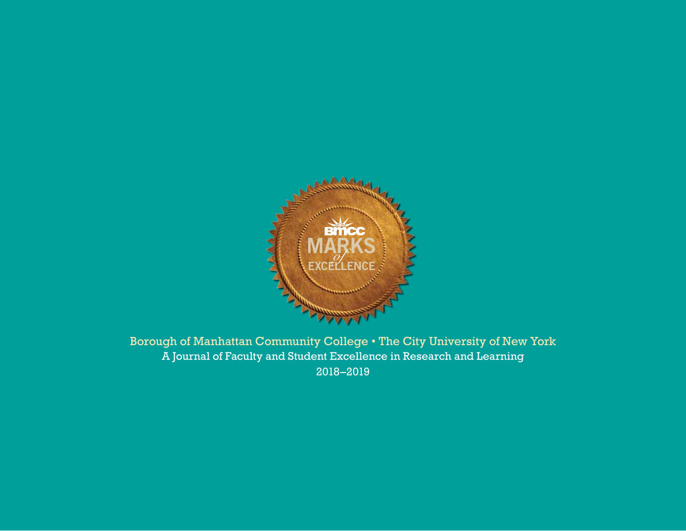

Borough of Manhattan Community College • The City University of New York A Journal of Faculty and Student Excellence in Research and Learning 2018–2019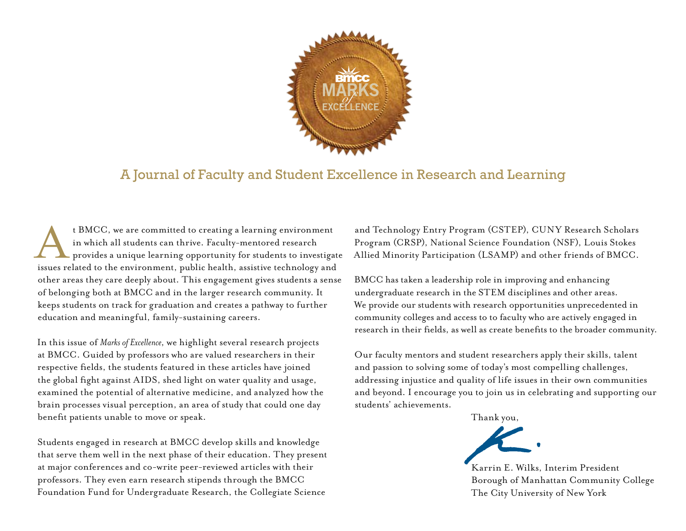

### A Journal of Faculty and Student Excellence in Research and Learning

t BMCC, we are committed to creating a learning environment<br>in which all students can thrive. Faculty-mentored research<br>provides a unique learning opportunity for students to investiga<br>issues related to the environment, pu in which all students can thrive. Faculty-mentored research provides a unique learning opportunity for students to investigate issues related to the environment, public health, assistive technology and other areas they care deeply about. This engagement gives students a sense of belonging both at BMCC and in the larger research community. It keeps students on track for graduation and creates a pathway to further education and meaningful, family-sustaining careers.

In this issue of *Marks of Excellence*, we highlight several research projects at BMCC. Guided by professors who are valued researchers in their respective fields, the students featured in these articles have joined the global fight against AIDS, shed light on water quality and usage, examined the potential of alternative medicine, and analyzed how the brain processes visual perception, an area of study that could one day benefit patients unable to move or speak.

Students engaged in research at BMCC develop skills and knowledge that serve them well in the next phase of their education. They present at major conferences and co-write peer-reviewed articles with their professors. They even earn research stipends through the BMCC Foundation Fund for Undergraduate Research, the Collegiate Science

and Technology Entry Program (CSTEP), CUNY Research Scholars Program (CRSP), National Science Foundation (NSF), Louis Stokes Allied Minority Participation (LSAMP) and other friends of BMCC.

BMCC has taken a leadership role in improving and enhancing undergraduate research in the STEM disciplines and other areas. We provide our students with research opportunities unprecedented in community colleges and access to to faculty who are actively engaged in research in their fields, as well as create benefits to the broader community.

Our faculty mentors and student researchers apply their skills, talent and passion to solving some of today's most compelling challenges, addressing injustice and quality of life issues in their own communities and beyond. I encourage you to join us in celebrating and supporting our students' achievements.

Thank you,



Karrin E. Wilks, Interim President Borough of Manhattan Community College The City University of New York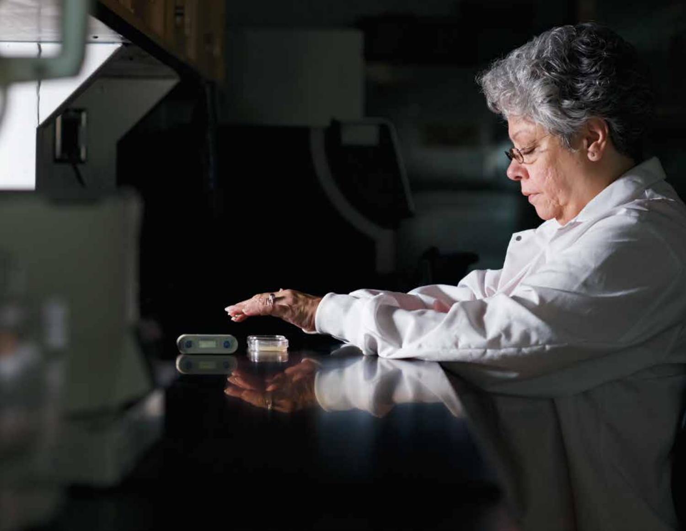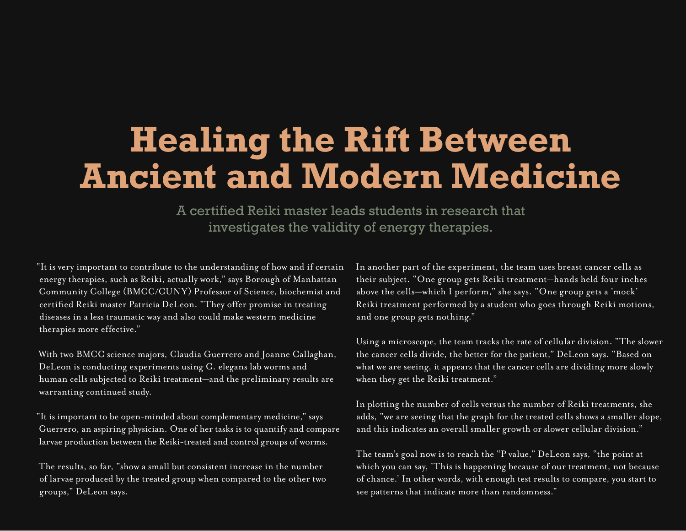## **Healing the Rift Between Ancient and Modern Medicine**

A certified Reiki master leads students in research that investigates the validity of energy therapies.

"It is very important to contribute to the understanding of how and if certain energy therapies, such as Reiki, actually work," says Borough of Manhattan Community College (BMCC/CUNY) Professor of Science, biochemist and certified Reiki master Patricia DeLeon. "They offer promise in treating diseases in a less traumatic way and also could make western medicine therapies more effective."

With two BMCC science majors, Claudia Guerrero and Joanne Callaghan, DeLeon is conducting experiments using C. elegans lab worms and human cells subjected to Reiki treatment—and the preliminary results are warranting continued study.

"It is important to be open-minded about complementary medicine," says Guerrero, an aspiring physician. One of her tasks is to quantify and compare larvae production between the Reiki-treated and control groups of worms.

The results, so far, "show a small but consistent increase in the number of larvae produced by the treated group when compared to the other two groups," DeLeon says.

In another part of the experiment, the team uses breast cancer cells as their subject. "One group gets Reiki treatment—hands held four inches above the cells—which I perform," she says. "One group gets a 'mock' Reiki treatment performed by a student who goes through Reiki motions, and one group gets nothing."

Using a microscope, the team tracks the rate of cellular division. "The slower the cancer cells divide, the better for the patient," DeLeon says. "Based on what we are seeing, it appears that the cancer cells are dividing more slowly when they get the Reiki treatment."

In plotting the number of cells versus the number of Reiki treatments, she adds, "we are seeing that the graph for the treated cells shows a smaller slope, and this indicates an overall smaller growth or slower cellular division."

The team's goal now is to reach the "P value," DeLeon says, "the point at which you can say, 'This is happening because of our treatment, not because of chance.' In other words, with enough test results to compare, you start to see patterns that indicate more than randomness."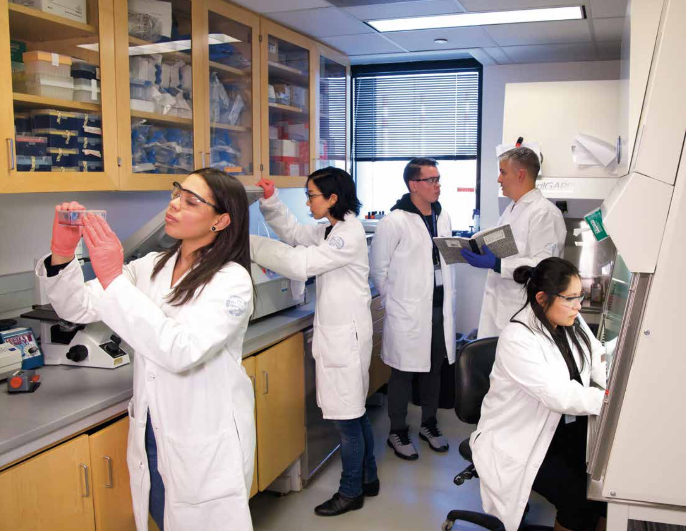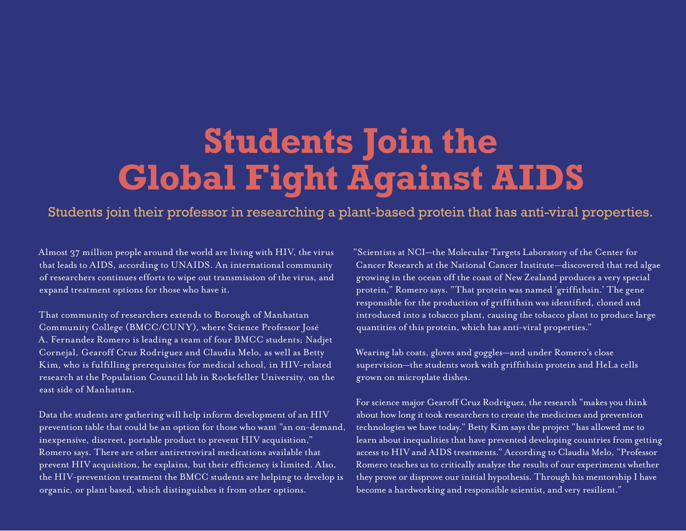# **Students Join the Global Fight Against AIDS**

Students join their professor in researching a plant-based protein that has anti-viral properties.

Almost 37 million people around the world are living with HIV, the virus that leads to AIDS, according to UNAIDS. An international community of researchers continues efforts to wipe out transmission of the virus, and expand treatment options for those who have it.

That community of researchers extends to Borough of Manhattan Community College (BMCC/CUNY), where Science Professor José A. Fernandez Romero is leading a team of four BMCC students; Nadjet Cornejal, Gearoff Cruz Rodriguez and Claudia Melo, as well as Betty Kim, who is fulfilling prerequisites for medical school, in HIV-related research at the Population Council lab in Rockefeller University, on the east side of Manhattan.

Data the students are gathering will help inform development of an HIV prevention table that could be an option for those who want "an on-demand, inexpensive, discreet, portable product to prevent HIV acquisition," Romero says. There are other antiretroviral medications available that prevent HIV acquisition, he explains, but their efficiency is limited. Also, the HIV-prevention treatment the BMCC students are helping to develop is organic, or plant based, which distinguishes it from other options.

"Scientists at NCI—the Molecular Targets Laboratory of the Center for Cancer Research at the National Cancer Institute—discovered that red algae growing in the ocean off the coast of New Zealand produces a very special protein," Romero says. "That protein was named 'griffithsin.' The gene responsible for the production of griffithsin was identified, cloned and introduced into a tobacco plant, causing the tobacco plant to produce large quantities of this protein, which has anti-viral properties."

Wearing lab coats, gloves and goggles—and under Romero's close supervision—the students work with griffithsin protein and HeLa cells grown on microplate dishes.

For science major Gearoff Cruz Rodriguez, the research "makes you think about how long it took researchers to create the medicines and prevention technologies we have today." Betty Kim says the project "has allowed me to learn about inequalities that have prevented developing countries from getting access to HIV and AIDS treatments." According to Claudia Melo, "Professor Romero teaches us to critically analyze the results of our experiments whether they prove or disprove our initial hypothesis. Through his mentorship I have become a hardworking and responsible scientist, and very resilient."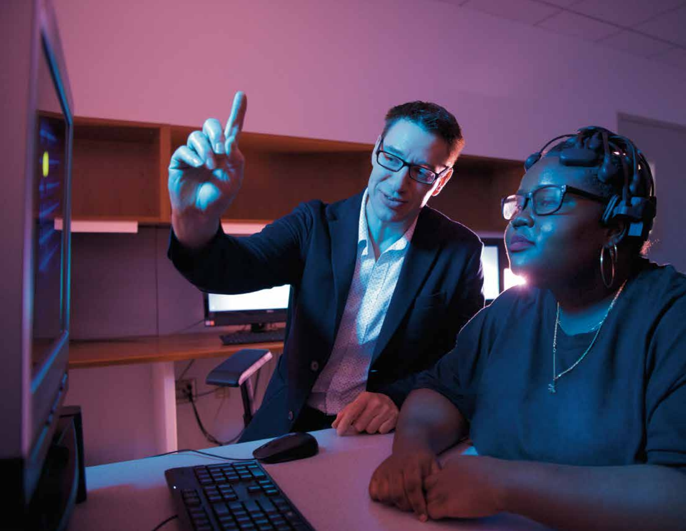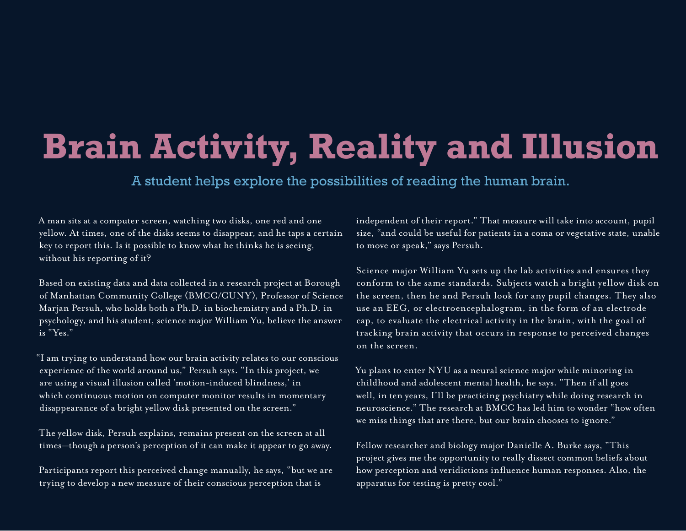# **Brain Activity, Reality and Illusion**

A student helps explore the possibilities of reading the human brain.

A man sits at a computer screen, watching two disks, one red and one yellow. At times, one of the disks seems to disappear, and he taps a certain key to report this. Is it possible to know what he thinks he is seeing, without his reporting of it?

Based on existing data and data collected in a research project at Borough of Manhattan Community College (BMCC/CUNY), Professor of Science Marjan Persuh, who holds both a Ph.D. in biochemistry and a Ph.D. in psychology, and his student, science major William Yu, believe the answer is "Yes."

"I am trying to understand how our brain activity relates to our conscious experience of the world around us," Persuh says. "In this project, we are using a visual illusion called 'motion-induced blindness,' in which continuous motion on computer monitor results in momentary disappearance of a bright yellow disk presented on the screen."

The yellow disk, Persuh explains, remains present on the screen at all times—though a person's perception of it can make it appear to go away.

Participants report this perceived change manually, he says, "but we are trying to develop a new measure of their conscious perception that is

independent of their report." That measure will take into account, pupil size, "and could be useful for patients in a coma or vegetative state, unable to move or speak," says Persuh.

Science major William Yu sets up the lab activities and ensures they conform to the same standards. Subjects watch a bright yellow disk on the screen, then he and Persuh look for any pupil changes. They also use an EEG, or electroencephalogram, in the form of an electrode cap, to evaluate the electrical activity in the brain, with the goal of tracking brain activity that occurs in response to perceived changes on the screen.

Yu plans to enter NYU as a neural science major while minoring in childhood and adolescent mental health, he says. "Then if all goes well, in ten years, I'll be practicing psychiatry while doing research in neuroscience." The research at BMCC has led him to wonder "how often we miss things that are there, but our brain chooses to ignore."

Fellow researcher and biology major Danielle A. Burke says, "This project gives me the opportunity to really dissect common beliefs about how perception and veridictions influence human responses. Also, the apparatus for testing is pretty cool."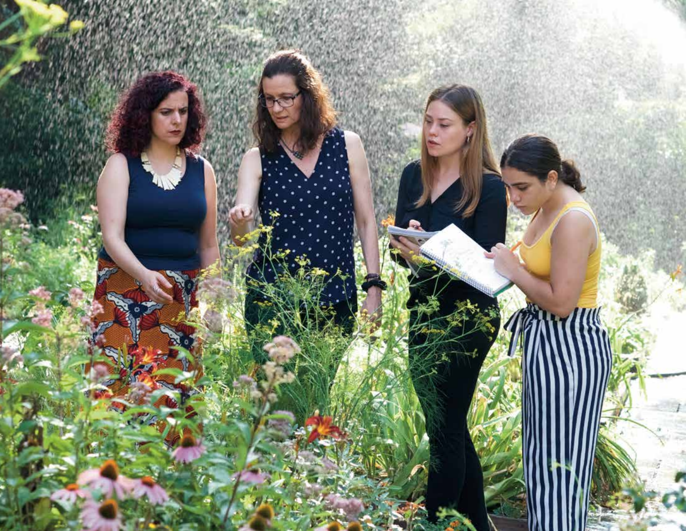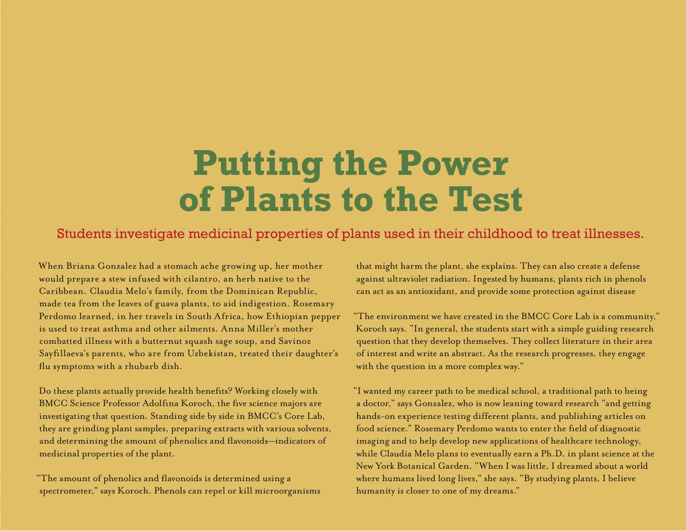### **Putting the Power of Plants to the Test**

#### Students investigate medicinal properties of plants used in their childhood to treat illnesses.

When Briana Gonzalez had a stomach ache growing up, her mother would prepare a stew infused with cilantro, an herb native to the Caribbean. Claudia Melo's family, from the Dominican Republic, made tea from the leaves of guava plants, to aid indigestion. Rosemary Perdomo learned, in her travels in South Africa, how Ethiopian pepper is used to treat asthma and other ailments. Anna Miller's mother combatted illness with a butternut squash sage soup, and Savinoz Sayfillaeva's parents, who are from Uzbekistan, treated their daughter's flu symptoms with a rhubarb dish.

Do these plants actually provide health benefits? Working closely with BMCC Science Professor Adolfina Koroch, the five science majors are investigating that question. Standing side by side in BMCC's Core Lab, they are grinding plant samples, preparing extracts with various solvents, and determining the amount of phenolics and flavonoids—indicators of medicinal properties of the plant.

"The amount of phenolics and flavonoids is determined using a spectrometer," says Koroch. Phenols can repel or kill microorganisms that might harm the plant, she explains. They can also create a defense against ultraviolet radiation. Ingested by humans, plants rich in phenols can act as an antioxidant, and provide some protection against disease

"The environment we have created in the BMCC Core Lab is a community," Koroch says. "In general, the students start with a simple guiding research question that they develop themselves. They collect literature in their area of interest and write an abstract. As the research progresses, they engage with the question in a more complex way."

"I wanted my career path to be medical school, a traditional path to being a doctor," says Gonzalez, who is now leaning toward research "and getting hands-on experience testing different plants, and publishing articles on food science." Rosemary Perdomo wants to enter the field of diagnostic imaging and to help develop new applications of healthcare technology, while Claudia Melo plans to eventually earn a Ph.D. in plant science at the New York Botanical Garden. "When I was little, I dreamed about a world where humans lived long lives," she says. "By studying plants, I believe humanity is closer to one of my dreams."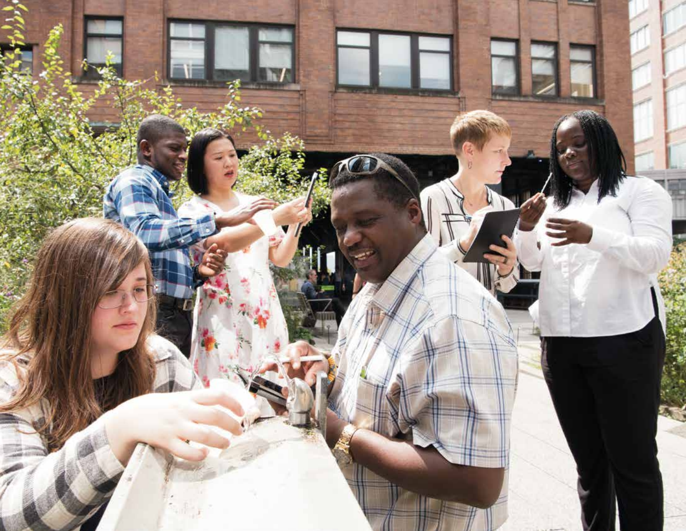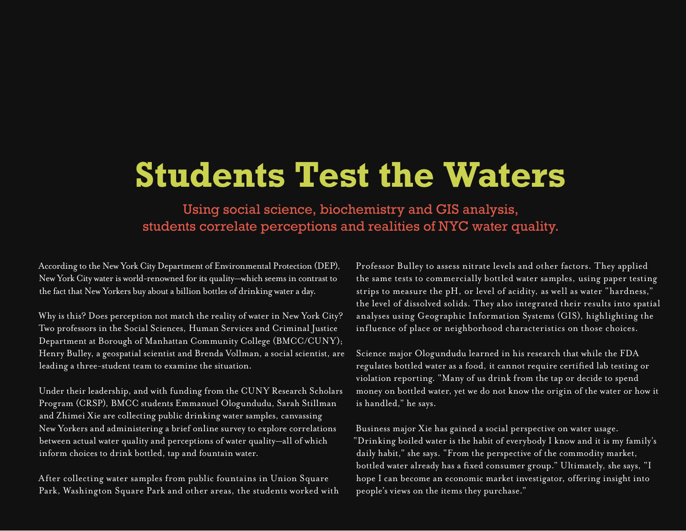## **Students Test the Waters**

Using social science, biochemistry and GIS analysis, students correlate perceptions and realities of NYC water quality.

According to the New York City Department of Environmental Protection (DEP), New York City water is world-renowned for its quality—which seems in contrast to the fact that New Yorkers buy about a billion bottles of drinking water a day.

Why is this? Does perception not match the reality of water in New York City? Two professors in the Social Sciences, Human Services and Criminal Justice Department at Borough of Manhattan Community College (BMCC/CUNY); Henry Bulley, a geospatial scientist and Brenda Vollman, a social scientist, are leading a three-student team to examine the situation.

Under their leadership, and with funding from the CUNY Research Scholars Program (CRSP), BMCC students Emmanuel Ologundudu, Sarah Stillman and Zhimei Xie are collecting public drinking water samples, canvassing New Yorkers and administering a brief online survey to explore correlations between actual water quality and perceptions of water quality—all of which inform choices to drink bottled, tap and fountain water.

After collecting water samples from public fountains in Union Square Park, Washington Square Park and other areas, the students worked with Professor Bulley to assess nitrate levels and other factors. They applied the same tests to commercially bottled water samples, using paper testing strips to measure the pH, or level of acidity, as well as water "hardness," the level of dissolved solids. They also integrated their results into spatial analyses using Geographic Information Systems (GIS), highlighting the influence of place or neighborhood characteristics on those choices.

Science major Ologundudu learned in his research that while the FDA regulates bottled water as a food, it cannot require certified lab testing or violation reporting. "Many of us drink from the tap or decide to spend money on bottled water, yet we do not know the origin of the water or how it is handled," he says.

Business major Xie has gained a social perspective on water usage. "Drinking boiled water is the habit of everybody I know and it is my family's daily habit," she says. "From the perspective of the commodity market, bottled water already has a fixed consumer group." Ultimately, she says, "I hope I can become an economic market investigator, offering insight into people's views on the items they purchase."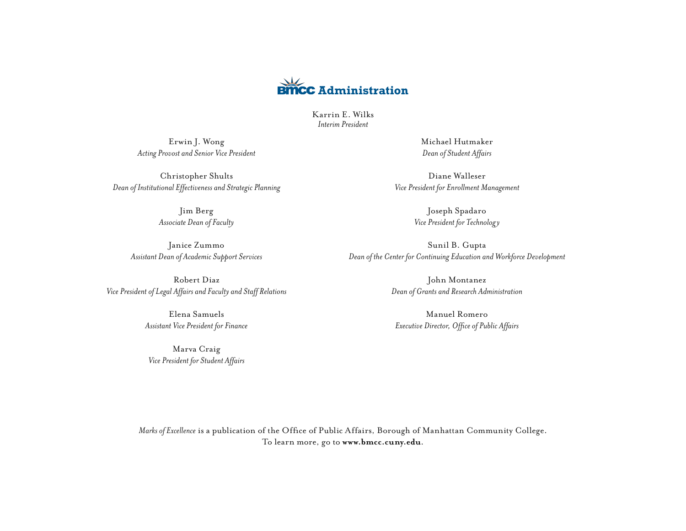

Karrin E. Wilks *Interim President*

Erwin J. Wong *Acting Provost and Senior Vice President* 

Christopher Shults *Dean of Institutional Effectiveness and Strategic Planning*

> Jim Berg *Associate Dean of Faculty*

Janice Zummo *Assistant Dean of Academic Support Services*

Robert Diaz *Vice President of Legal Affairs and Faculty and Staff Relations*

> Elena Samuels *Assistant Vice President for Finance*

Marva Craig *Vice President for Student Affairs* Michael Hutmaker *Dean of Student Affairs*

Diane Walleser *Vice President for Enrollment Management*

> Joseph Spadaro *Vice President for Technolog y*

Sunil B. Gupta *Dean of the Center for Continuing Education and Workforce Development*

> John Montanez *Dean of Grants and Research Administration*

Manuel Romero *Executive Director, Office of Public Affairs*

*Marks of Excellence* is a publication of the Office of Public Affairs, Borough of Manhattan Community College. To learn more, go to **www.bmcc.cuny.edu**.